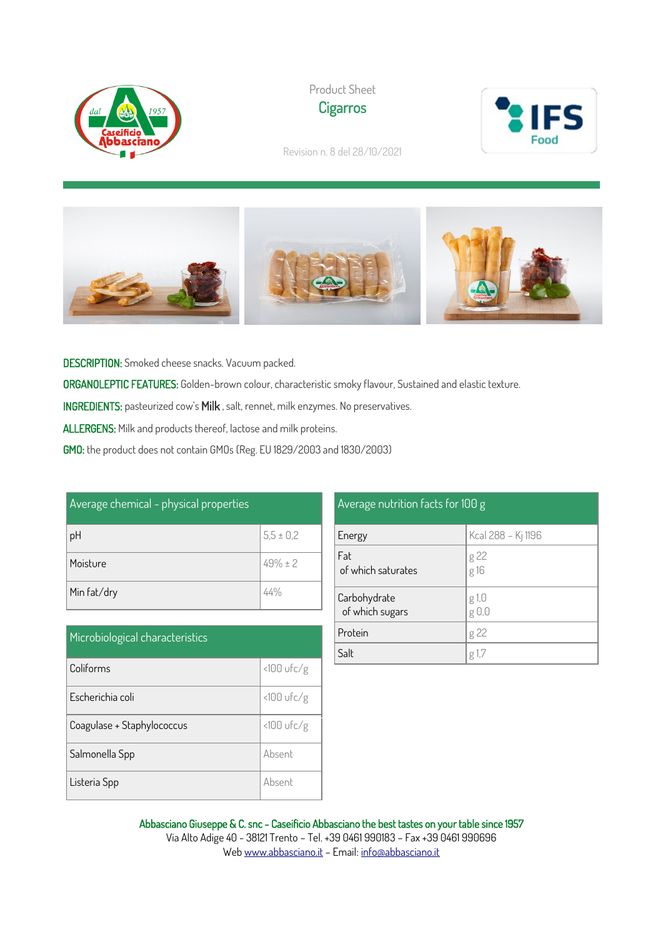





Revision n. 8 del 28/10/2021



DESCRIPTION: Smoked cheese snacks. Vacuum packed.

ORGANOLEPTIC FEATURES: Golden-brown colour, characteristic smoky flavour, Sustained and elastic texture.

INGREDIENTS: pasteurized cow's Milk , salt, rennet, milk enzymes. No preservatives.

ALLERGENS: Milk and products thereof, lactose and milk proteins.

GMO: the product does not contain GMOs (Reg. EU 1829/2003 and 1830/2003)

| Average chemical - physical properties |               |
|----------------------------------------|---------------|
| рH                                     | $5,5 \pm 0,2$ |
| Moisture                               | $49\% \pm 2$  |
| Min fat/dry                            |               |

| Microbiological characteristics |              |
|---------------------------------|--------------|
| Coliforms                       | $<100$ ufc/g |
| Escherichia coli                | $<100$ ufc/g |
| Coagulase + Staphylococcus      | $<100$ ufc/g |
| Salmonella Spp                  | Absent       |
| Listeria Spp                    | Ahsent       |

| Average nutrition facts f <u>or 100 g</u> |                    |  |
|-------------------------------------------|--------------------|--|
| Energy                                    | Kcal 288 - Kj 1196 |  |
| Fat<br>of which saturates                 | g 22<br>g 16       |  |
| Carbohydrate<br>of which sugars           | g 1,0<br>g 0,0     |  |
| Protein                                   | g 22               |  |
| Salt                                      | g 1,7              |  |

Abbasciano Giuseppe & C. snc - Caseificio Abbasciano the best tastes on your table since 1957 Via Alto Adige 40 - 38121 Trento – Tel. +39 0461 990183 – Fax +39 0461 990696 We[b www.abbasciano.it](http://www.abbasciano.it/) – Email[: info@abbasciano.it](mailto:info@abbasciano.it)